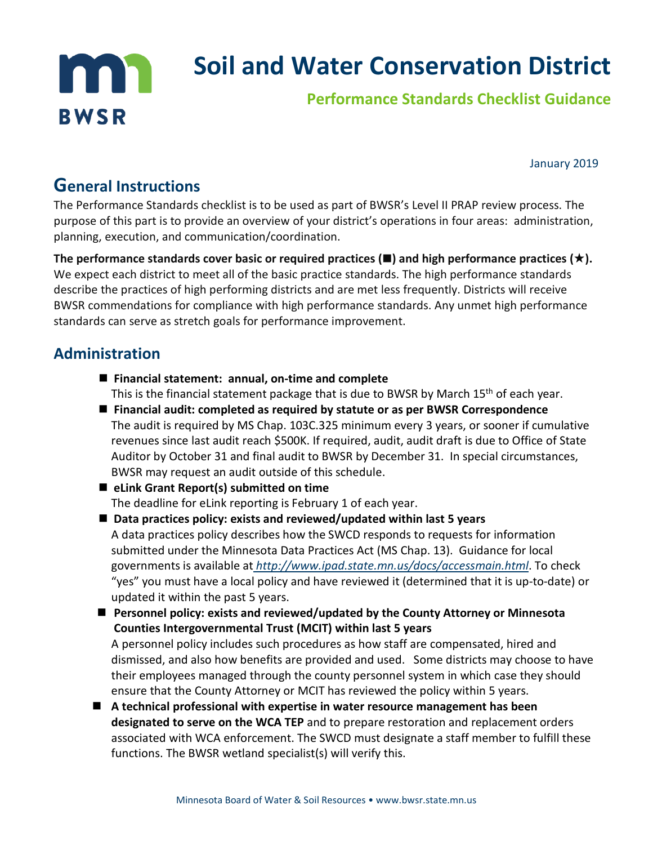m **Soil and Water Conservation District Performance Standards Checklist GuidanceBWSR** 

January 2019

# **General Instructions**

The Performance Standards checklist is to be used as part of BWSR's Level II PRAP review process. The purpose of this part is to provide an overview of your district's operations in four areas: administration, planning, execution, and communication/coordination.

The performance standards cover basic or required practices  $(\blacksquare)$  and high performance practices  $(\star)$ . We expect each district to meet all of the basic practice standards. The high performance standards describe the practices of high performing districts and are met less frequently. Districts will receive BWSR commendations for compliance with high performance standards. Any unmet high performance standards can serve as stretch goals for performance improvement.

# **Administration**

- **Financial statement: annual, on-time and complete** This is the financial statement package that is due to BWSR by March 15<sup>th</sup> of each year.
- **Financial audit: completed as required by statute or as per BWSR Correspondence** The audit is required by MS Chap. 103C.325 minimum every 3 years, or sooner if cumulative revenues since last audit reach \$500K. If required, audit, audit draft is due to Office of State Auditor by October 31 and final audit to BWSR by December 31. In special circumstances, BWSR may request an audit outside of this schedule.
- **eLink Grant Report(s) submitted on time** The deadline for eLink reporting is February 1 of each year.
- Data practices policy: exists and reviewed/updated within last 5 years A data practices policy describes how the SWCD responds to requests for information submitted under the Minnesota Data Practices Act (MS Chap. 13). Guidance for local governments is available at *<http://www.ipad.state.mn.us/docs/accessmain.html>*. To check "yes" you must have a local policy and have reviewed it (determined that it is up-to-date) or updated it within the past 5 years.
- **Personnel policy: exists and reviewed/updated by the County Attorney or Minnesota Counties Intergovernmental Trust (MCIT) within last 5 years** A personnel policy includes such procedures as how staff are compensated, hired and dismissed, and also how benefits are provided and used. Some districts may choose to have their employees managed through the county personnel system in which case they should ensure that the County Attorney or MCIT has reviewed the policy within 5 years.
- **A technical professional with expertise in water resource management has been designated to serve on the WCA TEP** and to prepare restoration and replacement orders associated with WCA enforcement. The SWCD must designate a staff member to fulfill these functions. The BWSR wetland specialist(s) will verify this.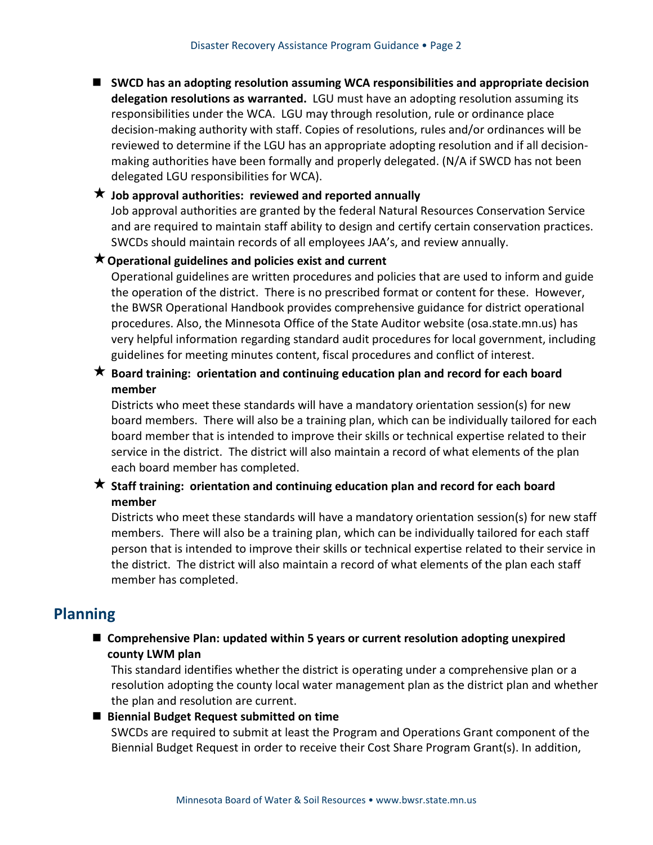**SWCD has an adopting resolution assuming WCA responsibilities and appropriate decision delegation resolutions as warranted.** LGU must have an adopting resolution assuming its responsibilities under the WCA. LGU may through resolution, rule or ordinance place decision-making authority with staff. Copies of resolutions, rules and/or ordinances will be reviewed to determine if the LGU has an appropriate adopting resolution and if all decisionmaking authorities have been formally and properly delegated. (N/A if SWCD has not been delegated LGU responsibilities for WCA).

### **Job approval authorities: reviewed and reported annually**

Job approval authorities are granted by the federal Natural Resources Conservation Service and are required to maintain staff ability to design and certify certain conservation practices. SWCDs should maintain records of all employees JAA's, and review annually.

## **Operational guidelines and policies exist and current**

Operational guidelines are written procedures and policies that are used to inform and guide the operation of the district. There is no prescribed format or content for these. However, the BWSR Operational Handbook provides comprehensive guidance for district operational procedures. Also, the Minnesota Office of the State Auditor website (osa.state.mn.us) has very helpful information regarding standard audit procedures for local government, including guidelines for meeting minutes content, fiscal procedures and conflict of interest.

## **Board training: orientation and continuing education plan and record for each board member**

Districts who meet these standards will have a mandatory orientation session(s) for new board members. There will also be a training plan, which can be individually tailored for each board member that is intended to improve their skills or technical expertise related to their service in the district. The district will also maintain a record of what elements of the plan each board member has completed.

# **Staff training: orientation and continuing education plan and record for each board member**

Districts who meet these standards will have a mandatory orientation session(s) for new staff members. There will also be a training plan, which can be individually tailored for each staff person that is intended to improve their skills or technical expertise related to their service in the district. The district will also maintain a record of what elements of the plan each staff member has completed.

# **Planning**

 **Comprehensive Plan: updated within 5 years or current resolution adopting unexpired county LWM plan**

This standard identifies whether the district is operating under a comprehensive plan or a resolution adopting the county local water management plan as the district plan and whether the plan and resolution are current.

#### **Biennial Budget Request submitted on time**

SWCDs are required to submit at least the Program and Operations Grant component of the Biennial Budget Request in order to receive their Cost Share Program Grant(s). In addition,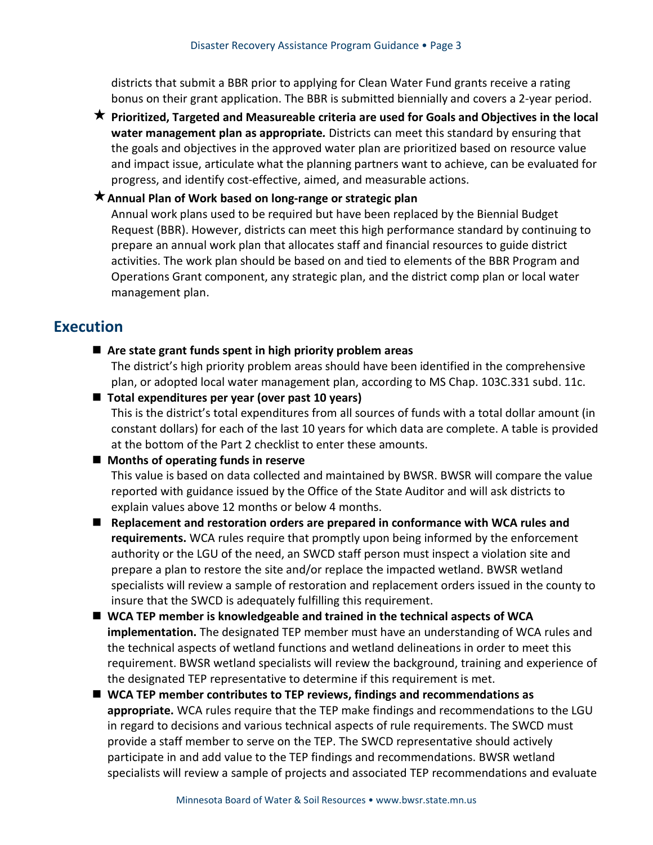districts that submit a BBR prior to applying for Clean Water Fund grants receive a rating bonus on their grant application. The BBR is submitted biennially and covers a 2-year period.

 **Prioritized, Targeted and Measureable criteria are used for Goals and Objectives in the local water management plan as appropriate***.* Districts can meet this standard by ensuring that the goals and objectives in the approved water plan are prioritized based on resource value and impact issue, articulate what the planning partners want to achieve, can be evaluated for progress, and identify cost-effective, aimed, and measurable actions.

#### **Annual Plan of Work based on long-range or strategic plan**

Annual work plans used to be required but have been replaced by the Biennial Budget Request (BBR). However, districts can meet this high performance standard by continuing to prepare an annual work plan that allocates staff and financial resources to guide district activities. The work plan should be based on and tied to elements of the BBR Program and Operations Grant component, any strategic plan, and the district comp plan or local water management plan.

# **Execution**

**Are state grant funds spent in high priority problem areas**

The district's high priority problem areas should have been identified in the comprehensive plan, or adopted local water management plan, according to MS Chap. 103C.331 subd. 11c.

■ Total expenditures per year (over past 10 years) This is the district's total expenditures from all sources of funds with a total dollar amount (in constant dollars) for each of the last 10 years for which data are complete. A table is provided at the bottom of the Part 2 checklist to enter these amounts.

### ■ Months of operating funds in reserve

This value is based on data collected and maintained by BWSR. BWSR will compare the value reported with guidance issued by the Office of the State Auditor and will ask districts to explain values above 12 months or below 4 months.

- **Replacement and restoration orders are prepared in conformance with WCA rules and requirements.** WCA rules require that promptly upon being informed by the enforcement authority or the LGU of the need, an SWCD staff person must inspect a violation site and prepare a plan to restore the site and/or replace the impacted wetland. BWSR wetland specialists will review a sample of restoration and replacement orders issued in the county to insure that the SWCD is adequately fulfilling this requirement.
- **WCA TEP member is knowledgeable and trained in the technical aspects of WCA implementation.** The designated TEP member must have an understanding of WCA rules and the technical aspects of wetland functions and wetland delineations in order to meet this requirement. BWSR wetland specialists will review the background, training and experience of the designated TEP representative to determine if this requirement is met.
- **WCA TEP member contributes to TEP reviews, findings and recommendations as appropriate.** WCA rules require that the TEP make findings and recommendations to the LGU in regard to decisions and various technical aspects of rule requirements. The SWCD must provide a staff member to serve on the TEP. The SWCD representative should actively participate in and add value to the TEP findings and recommendations. BWSR wetland specialists will review a sample of projects and associated TEP recommendations and evaluate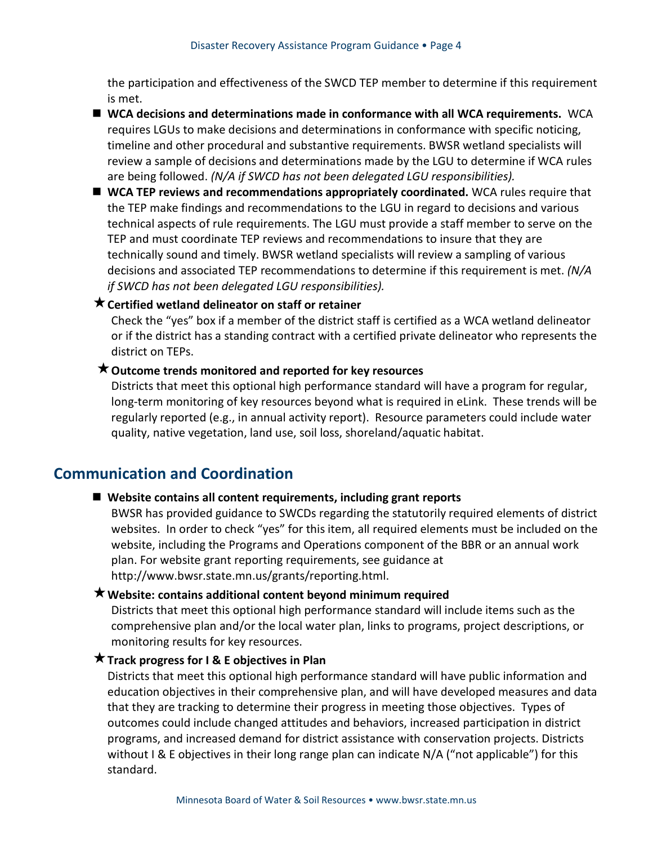the participation and effectiveness of the SWCD TEP member to determine if this requirement is met.

- **WCA decisions and determinations made in conformance with all WCA requirements.** WCA requires LGUs to make decisions and determinations in conformance with specific noticing, timeline and other procedural and substantive requirements. BWSR wetland specialists will review a sample of decisions and determinations made by the LGU to determine if WCA rules are being followed. *(N/A if SWCD has not been delegated LGU responsibilities).*
- **WCA TEP reviews and recommendations appropriately coordinated.** WCA rules require that the TEP make findings and recommendations to the LGU in regard to decisions and various technical aspects of rule requirements. The LGU must provide a staff member to serve on the TEP and must coordinate TEP reviews and recommendations to insure that they are technically sound and timely. BWSR wetland specialists will review a sampling of various decisions and associated TEP recommendations to determine if this requirement is met. *(N/A if SWCD has not been delegated LGU responsibilities).*

#### **Certified wetland delineator on staff or retainer**

Check the "yes" box if a member of the district staff is certified as a WCA wetland delineator or if the district has a standing contract with a certified private delineator who represents the district on TEPs.

## **Outcome trends monitored and reported for key resources**

Districts that meet this optional high performance standard will have a program for regular, long-term monitoring of key resources beyond what is required in eLink. These trends will be regularly reported (e.g., in annual activity report). Resource parameters could include water quality, native vegetation, land use, soil loss, shoreland/aquatic habitat.

# **Communication and Coordination**

#### **Website contains all content requirements, including grant reports**

BWSR has provided guidance to SWCDs regarding the statutorily required elements of district websites. In order to check "yes" for this item, all required elements must be included on the website, including the Programs and Operations component of the BBR or an annual work plan. For website grant reporting requirements, see guidance at http://www.bwsr.state.mn.us/grants/reporting.html.

#### **Website: contains additional content beyond minimum required**

Districts that meet this optional high performance standard will include items such as the comprehensive plan and/or the local water plan, links to programs, project descriptions, or monitoring results for key resources.

#### **Track progress for I & E objectives in Plan**

Districts that meet this optional high performance standard will have public information and education objectives in their comprehensive plan, and will have developed measures and data that they are tracking to determine their progress in meeting those objectives. Types of outcomes could include changed attitudes and behaviors, increased participation in district programs, and increased demand for district assistance with conservation projects. Districts without I & E objectives in their long range plan can indicate N/A ("not applicable") for this standard.